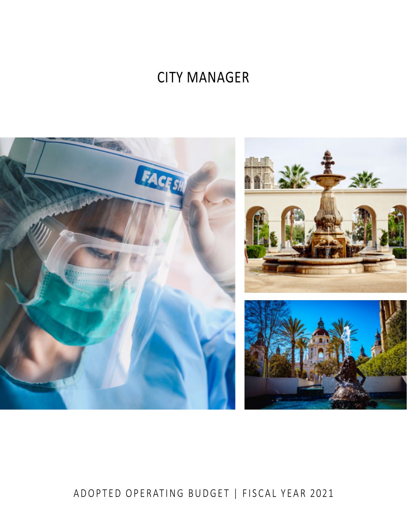# CITY MANAGER



# ADOPTED OPERATING BUDGET | FISCAL YEAR 2021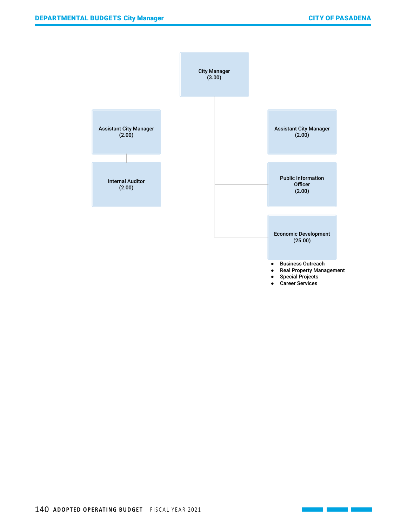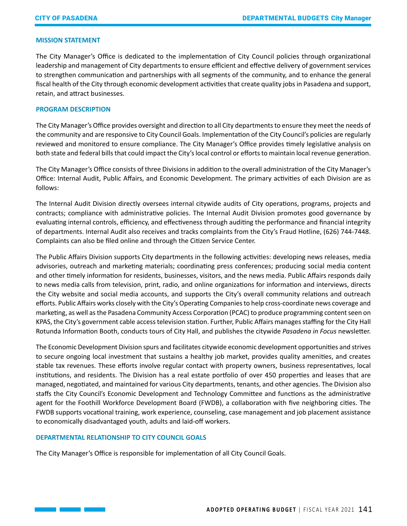#### **MISSION STATEMENT**

The City Manager's Office is dedicated to the implementation of City Council policies through organizational leadership and management of City departments to ensure efficient and effective delivery of government services to strengthen communication and partnerships with all segments of the community, and to enhance the general fiscal health of the City through economic development activities that create quality jobs in Pasadena and support, retain, and attract businesses.

#### **PROGRAM DESCRIPTION**

The City Manager's Office provides oversight and direction to all City departments to ensure they meet the needs of the community and are responsive to City Council Goals. Implementation of the City Council's policies are regularly reviewed and monitored to ensure compliance. The City Manager's Office provides timely legislative analysis on both state and federal bills that could impact the City's local control or efforts to maintain local revenue generation.

The City Manager's Office consists of three Divisions in addition to the overall administration of the City Manager's Office: Internal Audit, Public Affairs, and Economic Development. The primary activities of each Division are as follows:

The Internal Audit Division directly oversees internal citywide audits of City operations, programs, projects and contracts; compliance with administrative policies. The Internal Audit Division promotes good governance by evaluating internal controls, efficiency, and effectiveness through auditing the performance and financial integrity of departments. Internal Audit also receives and tracks complaints from the City's Fraud Hotline, (626) 744-7448. Complaints can also be filed online and through the Citizen Service Center.

The Public Affairs Division supports City departments in the following activities: developing news releases, media advisories, outreach and marketing materials; coordinating press conferences; producing social media content and other timely information for residents, businesses, visitors, and the news media. Public Affairs responds daily to news media calls from television, print, radio, and online organizations for information and interviews, directs the City website and social media accounts, and supports the City's overall community relations and outreach efforts. Public Affairs works closely with the City's Operating Companies to help cross-coordinate news coverage and marketing, as well as the Pasadena Community Access Corporation (PCAC) to produce programming content seen on KPAS, the City's government cable access television station. Further, Public Affairs manages staffing for the City Hall Rotunda Information Booth, conducts tours of City Hall, and publishes the citywide *Pasadena in Focus* newsletter.

The Economic Development Division spurs and facilitates citywide economic development opportunities and strives to secure ongoing local investment that sustains a healthy job market, provides quality amenities, and creates stable tax revenues. These efforts involve regular contact with property owners, business representatives, local institutions, and residents. The Division has a real estate portfolio of over 450 properties and leases that are managed, negotiated, and maintained for various City departments, tenants, and other agencies. The Division also staffs the City Council's Economic Development and Technology Committee and functions as the administrative agent for the Foothill Workforce Development Board (FWDB), a collaboration with five neighboring cities. The FWDB supports vocational training, work experience, counseling, case management and job placement assistance to economically disadvantaged youth, adults and laid-off workers.

#### **DEPARTMENTAL RELATIONSHIP TO CITY COUNCIL GOALS**

 $\mathcal{L}(\mathcal{L}^{\mathcal{L}}_{\mathcal{L}})$  and  $\mathcal{L}^{\mathcal{L}}_{\mathcal{L}}$ 

The City Manager's Office is responsible for implementation of all City Council Goals.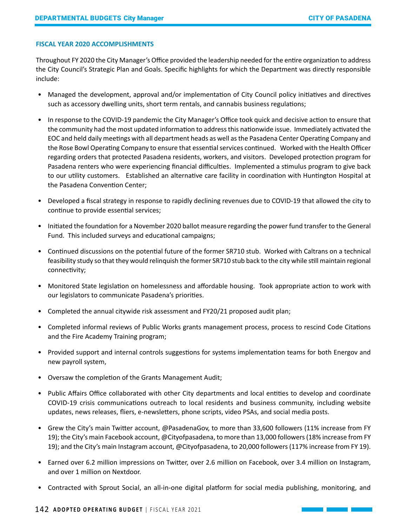### **FISCAL YEAR 2020 ACCOMPLISHMENTS**

Throughout FY 2020 the City Manager's Office provided the leadership needed for the entire organization to address the City Council's Strategic Plan and Goals. Specific highlights for which the Department was directly responsible include:

- Managed the development, approval and/or implementation of City Council policy initiatives and directives such as accessory dwelling units, short term rentals, and cannabis business regulations;
- In response to the COVID-19 pandemic the City Manager's Office took quick and decisive action to ensure that the community had the most updated information to address this nationwide issue. Immediately activated the EOC and held daily meetings with all department heads as well as the Pasadena Center Operating Company and the Rose Bowl Operating Company to ensure that essential services continued. Worked with the Health Officer regarding orders that protected Pasadena residents, workers, and visitors. Developed protection program for Pasadena renters who were experiencing financial difficulties. Implemented a stimulus program to give back to our utility customers. Established an alternative care facility in coordination with Huntington Hospital at the Pasadena Convention Center;
- Developed a fiscal strategy in response to rapidly declining revenues due to COVID-19 that allowed the city to continue to provide essential services;
- Initiated the foundation for a November 2020 ballot measure regarding the power fund transfer to the General Fund. This included surveys and educational campaigns;
- Continued discussions on the potential future of the former SR710 stub. Worked with Caltrans on a technical feasibility study so that they would relinquish the former SR710 stub back to the city while still maintain regional connectivity;
- Monitored State legislation on homelessness and affordable housing. Took appropriate action to work with our legislators to communicate Pasadena's priorities.
- Completed the annual citywide risk assessment and FY20/21 proposed audit plan;
- Completed informal reviews of Public Works grants management process, process to rescind Code Citations and the Fire Academy Training program;
- Provided support and internal controls suggestions for systems implementation teams for both Energov and new payroll system,
- Oversaw the completion of the Grants Management Audit;
- Public Affairs Office collaborated with other City departments and local entities to develop and coordinate COVID-19 crisis communications outreach to local residents and business community, including website updates, news releases, fliers, e-newsletters, phone scripts, video PSAs, and social media posts.
- Grew the City's main Twitter account, @PasadenaGov, to more than 33,600 followers (11% increase from FY 19); the City's main Facebook account, @Cityofpasadena, to more than 13,000 followers (18% increase from FY 19); and the City's main Instagram account, @Cityofpasadena, to 20,000 followers (117% increase from FY 19).
- Earned over 6.2 million impressions on Twitter, over 2.6 million on Facebook, over 3.4 million on Instagram, and over 1 million on Nextdoor.
- Contracted with Sprout Social, an all-in-one digital platform for social media publishing, monitoring, and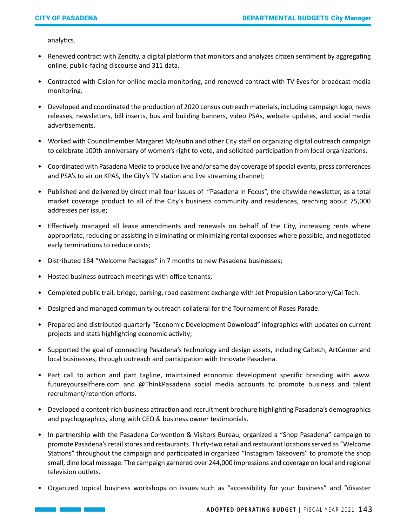analytics.

- Renewed contract with Zencity, a digital platform that monitors and analyzes citizen sentiment by aggregating online, public-facing discourse and 311 data.
- Contracted with Cision for online media monitoring, and renewed contract with TV Eyes for broadcast media monitoring.
- Developed and coordinated the production of 2020 census outreach materials, including campaign logo, news releases, newsletters, bill inserts, bus and building banners, video PSAs, website updates, and social media advertisements.
- Worked with Councilmember Margaret McAsutin and other City staff on organizing digital outreach campaign to celebrate 100th anniversary of women's right to vote, and solicited participation from local organizations.
- Coordinated with Pasadena Media to produce live and/or same day coverage of special events, press conferences and PSA's to air on KPAS, the City's TV station and live streaming channel;
- Published and delivered by direct mail four issues of "Pasadena In Focus", the citywide newsletter, as a total market coverage product to all of the City's business community and residences, reaching about 75,000 addresses per issue;
- Effectively managed all lease amendments and renewals on behalf of the City, increasing rents where appropriate, reducing or assisting in eliminating or minimizing rental expenses where possible, and negotiated early terminations to reduce costs;
- Distributed 184 "Welcome Packages" in 7 months to new Pasadena businesses;
- Hosted business outreach meetings with office tenants;

<u> 1999 - Jan Jawa Barat, pa</u>

- Completed public trail, bridge, parking, road easement exchange with Jet Propulsion Laboratory/Cal Tech.
- Designed and managed community outreach collateral for the Tournament of Roses Parade.
- Prepared and distributed quarterly "Economic Development Download" infographics with updates on current projects and stats highlighting economic activity;
- Supported the goal of connecting Pasadena's technology and design assets, including Caltech, ArtCenter and local businesses, through outreach and participation with Innovate Pasadena.
- Part call to action and part tagline, maintained economic development specific branding with [www.](http://www.futureyourselfhere.com) [futureyourselfhere.com](http://www.futureyourselfhere.com) and @ThinkPasadena social media accounts to promote business and talent recruitment/retention efforts.
- Developed a content-rich business attraction and recruitment brochure highlighting Pasadena's demographics and psychographics, along with CEO & business owner testimonials.
- In partnership with the Pasadena Convention & Visitors Bureau, organized a "Shop Pasadena" campaign to promote Pasadena's retail stores and restaurants. Thirty-two retail and restaurant locations served as "Welcome Stations" throughout the campaign and participated in organized "Instagram Takeovers" to promote the shop small, dine local message. The campaign garnered over 244,000 impressions and coverage on local and regional television outlets.
- Organized topical business workshops on issues such as "accessibility for your business" and "disaster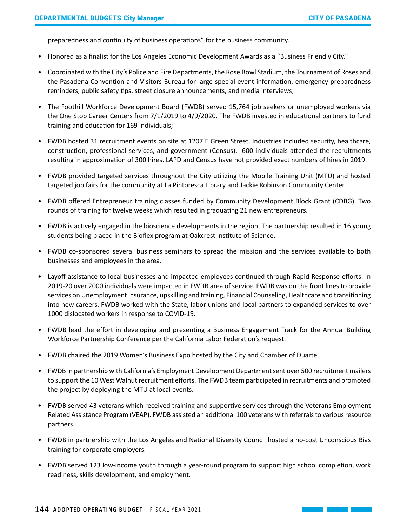preparedness and continuity of business operations" for the business community.

- Honored as a finalist for the Los Angeles Economic Development Awards as a "Business Friendly City."
- Coordinated with the City's Police and Fire Departments, the Rose Bowl Stadium, the Tournament of Roses and the Pasadena Convention and Visitors Bureau for large special event information, emergency preparedness reminders, public safety tips, street closure announcements, and media interviews;
- The Foothill Workforce Development Board (FWDB) served 15,764 job seekers or unemployed workers via the One Stop Career Centers from 7/1/2019 to 4/9/2020. The FWDB invested in educational partners to fund training and education for 169 individuals;
- FWDB hosted 31 recruitment events on site at 1207 E Green Street. Industries included security, healthcare, construction, professional services, and government (Census). 600 individuals attended the recruitments resulting in approximation of 300 hires. LAPD and Census have not provided exact numbers of hires in 2019.
- FWDB provided targeted services throughout the City utilizing the Mobile Training Unit (MTU) and hosted targeted job fairs for the community at La Pintoresca Library and Jackie Robinson Community Center.
- FWDB offered Entrepreneur training classes funded by Community Development Block Grant (CDBG). Two rounds of training for twelve weeks which resulted in graduating 21 new entrepreneurs.
- FWDB is actively engaged in the bioscience developments in the region. The partnership resulted in 16 young students being placed in the Bioflex program at Oakcrest Institute of Science.
- FWDB co-sponsored several business seminars to spread the mission and the services available to both businesses and employees in the area.
- Layoff assistance to local businesses and impacted employees continued through Rapid Response efforts. In 2019-20 over 2000 individuals were impacted in FWDB area of service. FWDB was on the front lines to provide services on Unemployment Insurance, upskilling and training, Financial Counseling, Healthcare and transitioning into new careers. FWDB worked with the State, labor unions and local partners to expanded services to over 1000 dislocated workers in response to COVID-19.
- FWDB lead the effort in developing and presenting a Business Engagement Track for the Annual Building Workforce Partnership Conference per the California Labor Federation's request.
- FWDB chaired the 2019 Women's Business Expo hosted by the City and Chamber of Duarte.
- FWDB in partnership with California's Employment Development Department sent over 500 recruitment mailers to support the 10 West Walnut recruitment efforts. The FWDB team participated in recruitments and promoted the project by deploying the MTU at local events.
- FWDB served 43 veterans which received training and supportive services through the Veterans Employment Related Assistance Program (VEAP). FWDB assisted an additional 100 veterans with referrals to various resource partners.
- FWDB in partnership with the Los Angeles and National Diversity Council hosted a no-cost Unconscious Bias training for corporate employers.
- FWDB served 123 low-income youth through a year-round program to support high school completion, work readiness, skills development, and employment.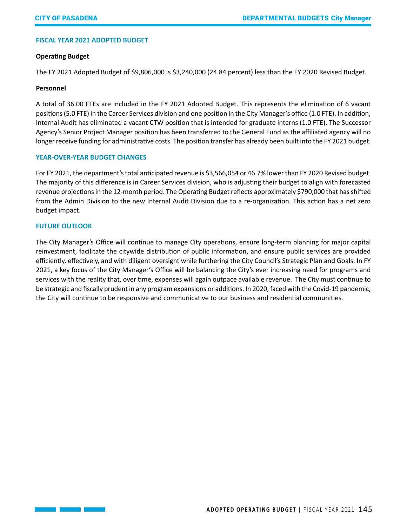## **FISCAL YEAR 2021 ADOPTED BUDGET**

#### **Operating Budget**

The FY 2021 Adopted Budget of \$9,806,000 is \$3,240,000 (24.84 percent) less than the FY 2020 Revised Budget.

#### **Personnel**

A total of 36.00 FTEs are included in the FY 2021 Adopted Budget. This represents the elimination of 6 vacant positions (5.0 FTE) in the Career Services division and one position in the City Manager's office (1.0 FTE). In addition, Internal Audit has eliminated a vacant CTW position that is intended for graduate interns (1.0 FTE). The Successor Agency's Senior Project Manager position has been transferred to the General Fund as the affiliated agency will no longer receive funding for administrative costs. The position transfer has already been built into the FY 2021 budget.

#### **YEAR-OVER-YEAR BUDGET CHANGES**

For FY 2021, the department's total anticipated revenue is \$3,566,054 or 46.7% lower than FY 2020 Revised budget. The majority of this difference is in Career Services division, who is adjusting their budget to align with forecasted revenue projections in the 12-month period. The Operating Budget reflects approximately \$790,000 that has shifted from the Admin Division to the new Internal Audit Division due to a re-organization. This action has a net zero budget impact.

# **FUTURE OUTLOOK**

The City Manager's Office will continue to manage City operations, ensure long-term planning for major capital reinvestment, facilitate the citywide distribution of public information, and ensure public services are provided efficiently, effectively, and with diligent oversight while furthering the City Council's Strategic Plan and Goals. In FY 2021, a key focus of the City Manager's Office will be balancing the City's ever increasing need for programs and services with the reality that, over time, expenses will again outpace available revenue. The City must continue to be strategic and fiscally prudent in any program expansions or additions. In 2020, faced with the Covid-19 pandemic, the City will continue to be responsive and communicative to our business and residential communities.